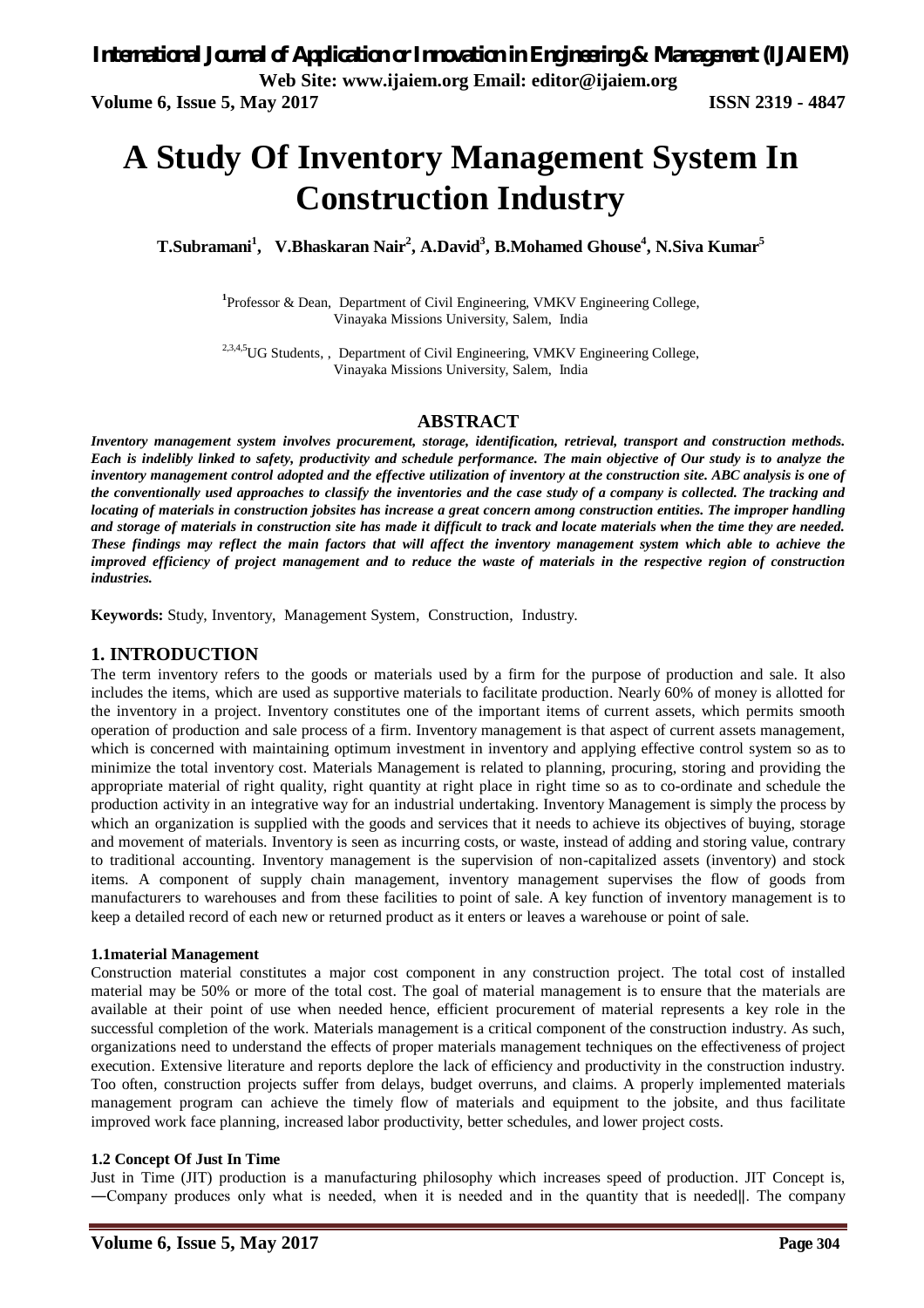**Volume 6, Issue 5, May 2017 ISSN 2319 - 4847** 

# **A Study Of Inventory Management System In Construction Industry**

**T.Subramani<sup>1</sup> , V.Bhaskaran Nair<sup>2</sup> , A.David<sup>3</sup> , B.Mohamed Ghouse<sup>4</sup> , N.Siva Kumar<sup>5</sup>**

<sup>1</sup>Professor & Dean, Department of Civil Engineering, VMKV Engineering College, Vinayaka Missions University, Salem, India

<sup>2,3,4,5</sup>UG Students, , Department of Civil Engineering, VMKV Engineering College, Vinayaka Missions University, Salem, India

#### **ABSTRACT**

*Inventory management system involves procurement, storage, identification, retrieval, transport and construction methods. Each is indelibly linked to safety, productivity and schedule performance. The main objective of Our study is to analyze the inventory management control adopted and the effective utilization of inventory at the construction site. ABC analysis is one of the conventionally used approaches to classify the inventories and the case study of a company is collected. The tracking and locating of materials in construction jobsites has increase a great concern among construction entities. The improper handling and storage of materials in construction site has made it difficult to track and locate materials when the time they are needed. These findings may reflect the main factors that will affect the inventory management system which able to achieve the improved efficiency of project management and to reduce the waste of materials in the respective region of construction industries.*

**Keywords:** Study, Inventory, Management System, Construction, Industry.

#### **1. INTRODUCTION**

The term inventory refers to the goods or materials used by a firm for the purpose of production and sale. It also includes the items, which are used as supportive materials to facilitate production. Nearly 60% of money is allotted for the inventory in a project. Inventory constitutes one of the important items of current assets, which permits smooth operation of production and sale process of a firm. Inventory management is that aspect of current assets management, which is concerned with maintaining optimum investment in inventory and applying effective control system so as to minimize the total inventory cost. Materials Management is related to planning, procuring, storing and providing the appropriate material of right quality, right quantity at right place in right time so as to co-ordinate and schedule the production activity in an integrative way for an industrial undertaking. Inventory Management is simply the process by which an organization is supplied with the goods and services that it needs to achieve its objectives of buying, storage and movement of materials. Inventory is seen as incurring costs, or waste, instead of adding and storing value, contrary to traditional accounting. Inventory management is the supervision of non-capitalized assets (inventory) and stock items. A component of supply chain management, inventory management supervises the flow of goods from manufacturers to warehouses and from these facilities to point of sale. A key function of inventory management is to keep a detailed record of each new or returned product as it enters or leaves a warehouse or point of sale.

#### **1.1material Management**

Construction material constitutes a major cost component in any construction project. The total cost of installed material may be 50% or more of the total cost. The goal of material management is to ensure that the materials are available at their point of use when needed hence, efficient procurement of material represents a key role in the successful completion of the work. Materials management is a critical component of the construction industry. As such, organizations need to understand the effects of proper materials management techniques on the effectiveness of project execution. Extensive literature and reports deplore the lack of efficiency and productivity in the construction industry. Too often, construction projects suffer from delays, budget overruns, and claims. A properly implemented materials management program can achieve the timely flow of materials and equipment to the jobsite, and thus facilitate improved work face planning, increased labor productivity, better schedules, and lower project costs.

#### **1.2 Concept Of Just In Time**

Just in Time (JIT) production is a manufacturing philosophy which increases speed of production. JIT Concept is, ―Company produces only what is needed, when it is needed and in the quantity that is needed‖. The company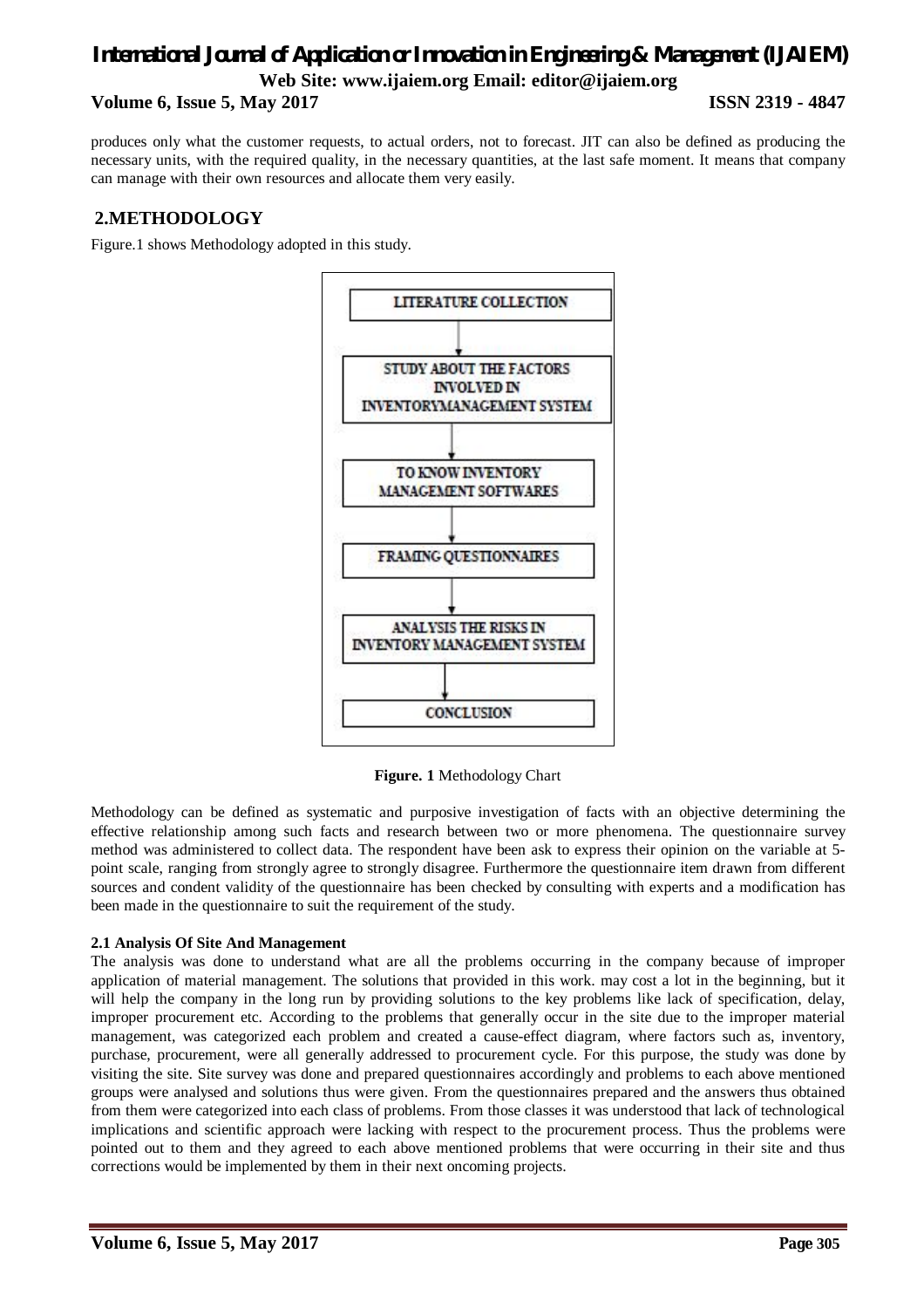#### **Volume 6, Issue 5, May 2017 ISSN 2319 - 4847**

produces only what the customer requests, to actual orders, not to forecast. JIT can also be defined as producing the necessary units, with the required quality, in the necessary quantities, at the last safe moment. It means that company can manage with their own resources and allocate them very easily.

### **2.METHODOLOGY**

Figure.1 shows Methodology adopted in this study.



**Figure. 1** Methodology Chart

Methodology can be defined as systematic and purposive investigation of facts with an objective determining the effective relationship among such facts and research between two or more phenomena. The questionnaire survey method was administered to collect data. The respondent have been ask to express their opinion on the variable at 5 point scale, ranging from strongly agree to strongly disagree. Furthermore the questionnaire item drawn from different sources and condent validity of the questionnaire has been checked by consulting with experts and a modification has been made in the questionnaire to suit the requirement of the study.

#### **2.1 Analysis Of Site And Management**

The analysis was done to understand what are all the problems occurring in the company because of improper application of material management. The solutions that provided in this work. may cost a lot in the beginning, but it will help the company in the long run by providing solutions to the key problems like lack of specification, delay, improper procurement etc. According to the problems that generally occur in the site due to the improper material management, was categorized each problem and created a cause-effect diagram, where factors such as, inventory, purchase, procurement, were all generally addressed to procurement cycle. For this purpose, the study was done by visiting the site. Site survey was done and prepared questionnaires accordingly and problems to each above mentioned groups were analysed and solutions thus were given. From the questionnaires prepared and the answers thus obtained from them were categorized into each class of problems. From those classes it was understood that lack of technological implications and scientific approach were lacking with respect to the procurement process. Thus the problems were pointed out to them and they agreed to each above mentioned problems that were occurring in their site and thus corrections would be implemented by them in their next oncoming projects.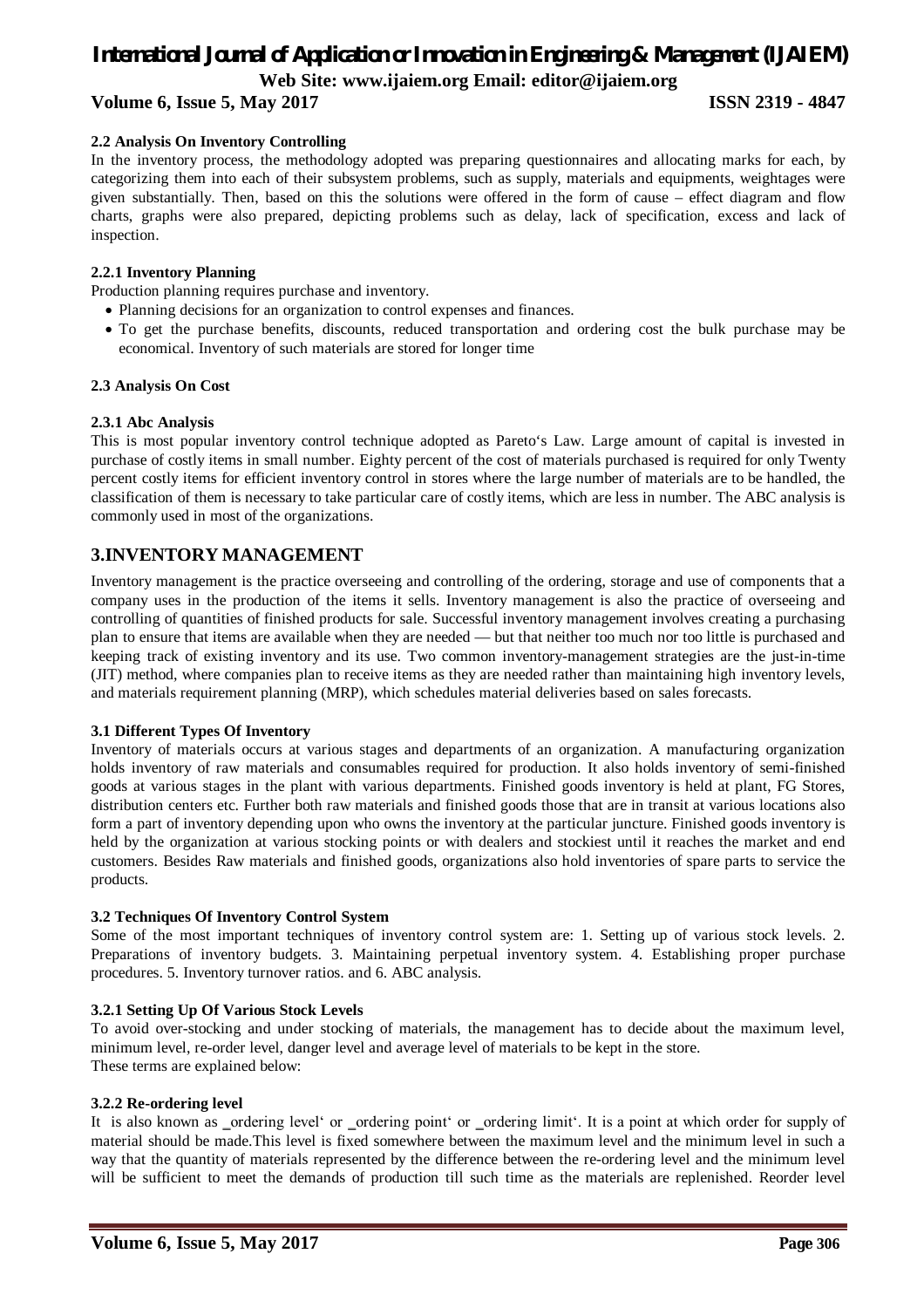# *International Journal of Application or Innovation in Engineering & Management (IJAIEM)*

**Web Site: www.ijaiem.org Email: editor@ijaiem.org**

### **Volume 6, Issue 5, May 2017 ISSN 2319 - 4847**

## **2.2 Analysis On Inventory Controlling**

In the inventory process, the methodology adopted was preparing questionnaires and allocating marks for each, by categorizing them into each of their subsystem problems, such as supply, materials and equipments, weightages were given substantially. Then, based on this the solutions were offered in the form of cause – effect diagram and flow charts, graphs were also prepared, depicting problems such as delay, lack of specification, excess and lack of inspection.

#### **2.2.1 Inventory Planning**

Production planning requires purchase and inventory.

- Planning decisions for an organization to control expenses and finances.
- To get the purchase benefits, discounts, reduced transportation and ordering cost the bulk purchase may be economical. Inventory of such materials are stored for longer time

#### **2.3 Analysis On Cost**

#### **2.3.1 Abc Analysis**

This is most popular inventory control technique adopted as Pareto's Law. Large amount of capital is invested in purchase of costly items in small number. Eighty percent of the cost of materials purchased is required for only Twenty percent costly items for efficient inventory control in stores where the large number of materials are to be handled, the classification of them is necessary to take particular care of costly items, which are less in number. The ABC analysis is commonly used in most of the organizations.

### **3.INVENTORY MANAGEMENT**

Inventory management is the practice overseeing and controlling of the ordering, storage and use of components that a company uses in the production of the items it sells. Inventory management is also the practice of overseeing and controlling of quantities of finished products for sale. Successful inventory management involves creating a purchasing plan to ensure that items are available when they are needed — but that neither too much nor too little is purchased and keeping track of existing inventory and its use. Two common inventory-management strategies are the just-in-time (JIT) method, where companies plan to receive items as they are needed rather than maintaining high inventory levels, and materials requirement planning (MRP), which schedules material deliveries based on sales forecasts.

#### **3.1 Different Types Of Inventory**

Inventory of materials occurs at various stages and departments of an organization. A manufacturing organization holds inventory of raw materials and consumables required for production. It also holds inventory of semi-finished goods at various stages in the plant with various departments. Finished goods inventory is held at plant, FG Stores, distribution centers etc. Further both raw materials and finished goods those that are in transit at various locations also form a part of inventory depending upon who owns the inventory at the particular juncture. Finished goods inventory is held by the organization at various stocking points or with dealers and stockiest until it reaches the market and end customers. Besides Raw materials and finished goods, organizations also hold inventories of spare parts to service the products.

#### **3.2 Techniques Of Inventory Control System**

Some of the most important techniques of inventory control system are: 1. Setting up of various stock levels. 2. Preparations of inventory budgets. 3. Maintaining perpetual inventory system. 4. Establishing proper purchase procedures. 5. Inventory turnover ratios. and 6. ABC analysis.

#### **3.2.1 Setting Up Of Various Stock Levels**

To avoid over-stocking and under stocking of materials, the management has to decide about the maximum level, minimum level, re-order level, danger level and average level of materials to be kept in the store. These terms are explained below:

#### **3.2.2 Re-ordering level**

It is also known as \_ordering level' or \_ordering point' or \_ordering limit'. It is a point at which order for supply of material should be made.This level is fixed somewhere between the maximum level and the minimum level in such a way that the quantity of materials represented by the difference between the re-ordering level and the minimum level will be sufficient to meet the demands of production till such time as the materials are replenished. Reorder level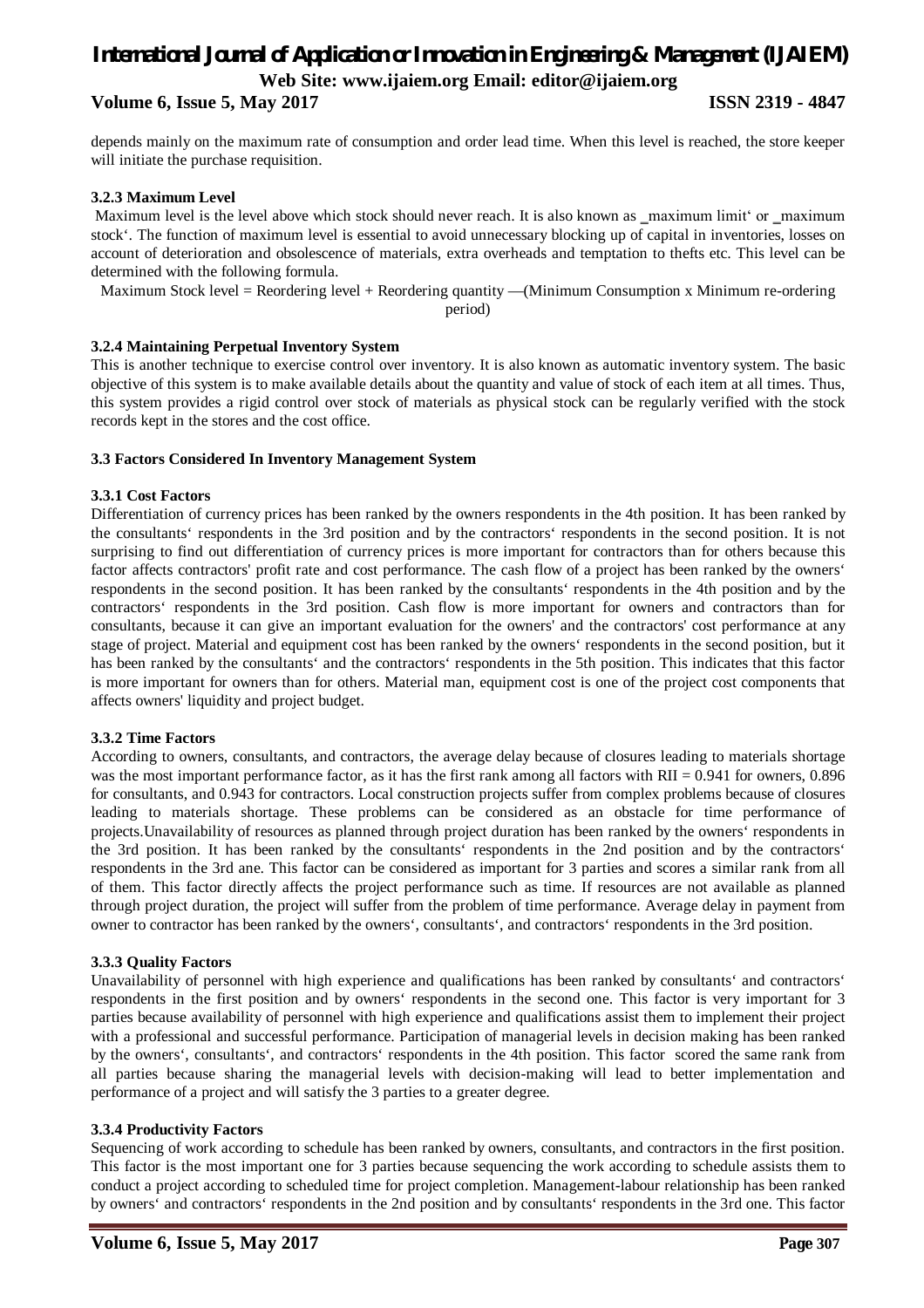#### **Volume 6, Issue 5, May 2017 ISSN 2319 - 4847**

depends mainly on the maximum rate of consumption and order lead time. When this level is reached, the store keeper will initiate the purchase requisition.

#### **3.2.3 Maximum Level**

Maximum level is the level above which stock should never reach. It is also known as \_maximum limit' or \_maximum stock'. The function of maximum level is essential to avoid unnecessary blocking up of capital in inventories, losses on account of deterioration and obsolescence of materials, extra overheads and temptation to thefts etc. This level can be determined with the following formula.

Maximum Stock level = Reordering level + Reordering quantity —(Minimum Consumption x Minimum re-ordering

period)

#### **3.2.4 Maintaining Perpetual Inventory System**

This is another technique to exercise control over inventory. It is also known as automatic inventory system. The basic objective of this system is to make available details about the quantity and value of stock of each item at all times. Thus, this system provides a rigid control over stock of materials as physical stock can be regularly verified with the stock records kept in the stores and the cost office.

#### **3.3 Factors Considered In Inventory Management System**

#### **3.3.1 Cost Factors**

Differentiation of currency prices has been ranked by the owners respondents in the 4th position. It has been ranked by the consultants' respondents in the 3rd position and by the contractors' respondents in the second position. It is not surprising to find out differentiation of currency prices is more important for contractors than for others because this factor affects contractors' profit rate and cost performance. The cash flow of a project has been ranked by the owners' respondents in the second position. It has been ranked by the consultants' respondents in the 4th position and by the contractors' respondents in the 3rd position. Cash flow is more important for owners and contractors than for consultants, because it can give an important evaluation for the owners' and the contractors' cost performance at any stage of project. Material and equipment cost has been ranked by the owners' respondents in the second position, but it has been ranked by the consultants' and the contractors' respondents in the 5th position. This indicates that this factor is more important for owners than for others. Material man, equipment cost is one of the project cost components that affects owners' liquidity and project budget.

#### **3.3.2 Time Factors**

According to owners, consultants, and contractors, the average delay because of closures leading to materials shortage was the most important performance factor, as it has the first rank among all factors with  $RII = 0.941$  for owners, 0.896 for consultants, and 0.943 for contractors. Local construction projects suffer from complex problems because of closures leading to materials shortage. These problems can be considered as an obstacle for time performance of projects.Unavailability of resources as planned through project duration has been ranked by the owners' respondents in the 3rd position. It has been ranked by the consultants' respondents in the 2nd position and by the contractors' respondents in the 3rd ane. This factor can be considered as important for 3 parties and scores a similar rank from all of them. This factor directly affects the project performance such as time. If resources are not available as planned through project duration, the project will suffer from the problem of time performance. Average delay in payment from owner to contractor has been ranked by the owners', consultants', and contractors' respondents in the 3rd position.

#### **3.3.3 Quality Factors**

Unavailability of personnel with high experience and qualifications has been ranked by consultants' and contractors' respondents in the first position and by owners' respondents in the second one. This factor is very important for 3 parties because availability of personnel with high experience and qualifications assist them to implement their project with a professional and successful performance. Participation of managerial levels in decision making has been ranked by the owners', consultants', and contractors' respondents in the 4th position. This factor scored the same rank from all parties because sharing the managerial levels with decision-making will lead to better implementation and performance of a project and will satisfy the 3 parties to a greater degree.

#### **3.3.4 Productivity Factors**

Sequencing of work according to schedule has been ranked by owners, consultants, and contractors in the first position. This factor is the most important one for 3 parties because sequencing the work according to schedule assists them to conduct a project according to scheduled time for project completion. Management-labour relationship has been ranked by owners' and contractors' respondents in the 2nd position and by consultants' respondents in the 3rd one. This factor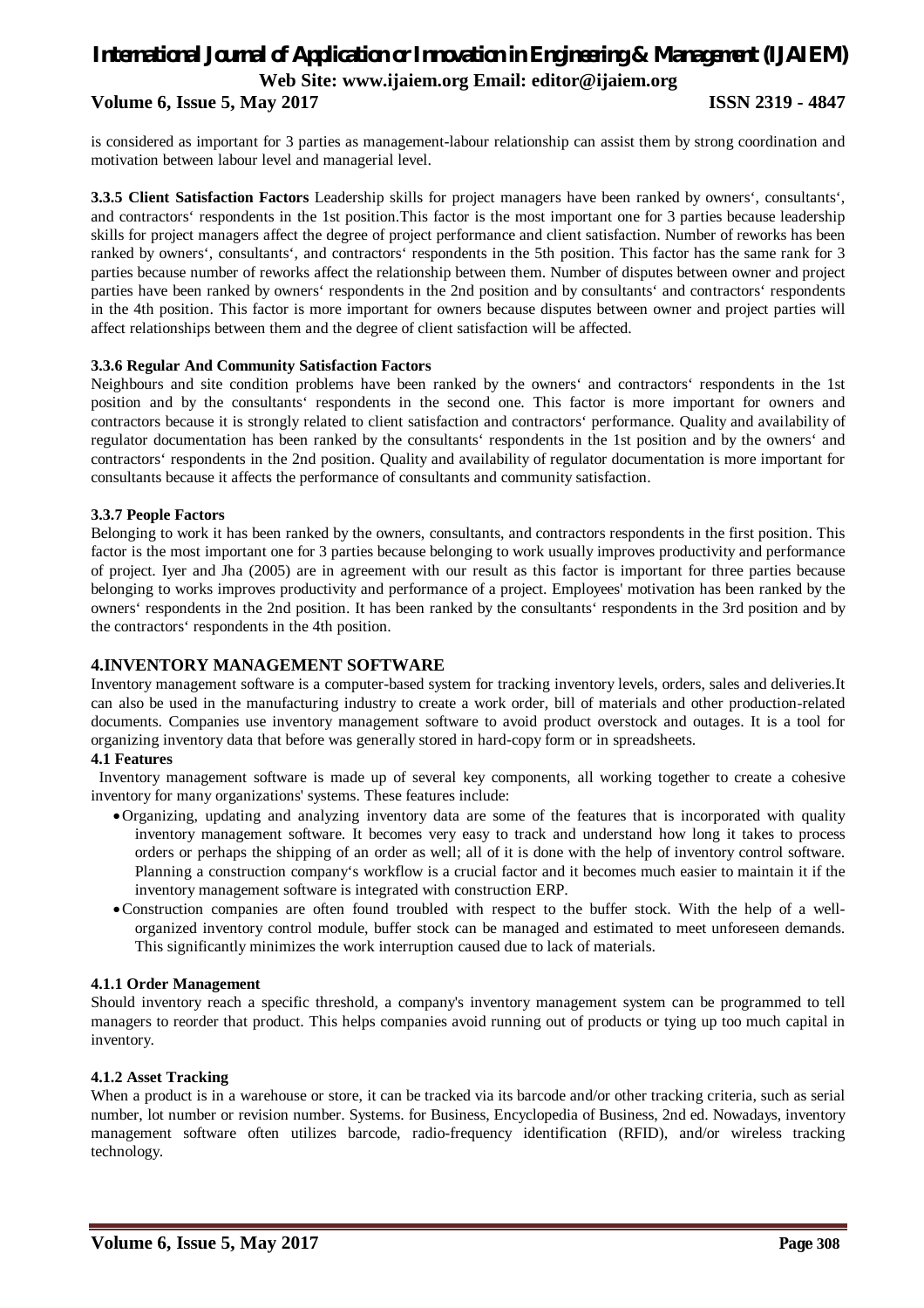# *International Journal of Application or Innovation in Engineering & Management (IJAIEM)* **Web Site: www.ijaiem.org Email: editor@ijaiem.org Volume 6, Issue 5, May 2017 ISSN 2319 - 4847**

is considered as important for 3 parties as management-labour relationship can assist them by strong coordination and motivation between labour level and managerial level.

**3.3.5 Client Satisfaction Factors** Leadership skills for project managers have been ranked by owners', consultants', and contractors' respondents in the 1st position.This factor is the most important one for 3 parties because leadership skills for project managers affect the degree of project performance and client satisfaction. Number of reworks has been ranked by owners', consultants', and contractors' respondents in the 5th position. This factor has the same rank for 3 parties because number of reworks affect the relationship between them. Number of disputes between owner and project parties have been ranked by owners' respondents in the 2nd position and by consultants' and contractors' respondents in the 4th position. This factor is more important for owners because disputes between owner and project parties will affect relationships between them and the degree of client satisfaction will be affected.

#### **3.3.6 Regular And Community Satisfaction Factors**

Neighbours and site condition problems have been ranked by the owners' and contractors' respondents in the 1st position and by the consultants' respondents in the second one. This factor is more important for owners and contractors because it is strongly related to client satisfaction and contractors' performance. Quality and availability of regulator documentation has been ranked by the consultants' respondents in the 1st position and by the owners' and contractors' respondents in the 2nd position. Quality and availability of regulator documentation is more important for consultants because it affects the performance of consultants and community satisfaction.

#### **3.3.7 People Factors**

Belonging to work it has been ranked by the owners, consultants, and contractors respondents in the first position. This factor is the most important one for 3 parties because belonging to work usually improves productivity and performance of project. Iyer and Jha (2005) are in agreement with our result as this factor is important for three parties because belonging to works improves productivity and performance of a project. Employees' motivation has been ranked by the owners' respondents in the 2nd position. It has been ranked by the consultants' respondents in the 3rd position and by the contractors' respondents in the 4th position.

#### **4.INVENTORY MANAGEMENT SOFTWARE**

Inventory management software is a computer-based system for tracking inventory levels, orders, sales and deliveries.It can also be used in the manufacturing industry to create a work order, bill of materials and other production-related documents. Companies use inventory management software to avoid product overstock and outages. It is a tool for organizing inventory data that before was generally stored in hard-copy form or in spreadsheets.

#### **4.1 Features**

 Inventory management software is made up of several key components, all working together to create a cohesive inventory for many organizations' systems. These features include:

- Organizing, updating and analyzing inventory data are some of the features that is incorporated with quality inventory management software. It becomes very easy to track and understand how long it takes to process orders or perhaps the shipping of an order as well; all of it is done with the help of inventory control software. Planning a construction company's workflow is a crucial factor and it becomes much easier to maintain it if the inventory management software is integrated with construction ERP.
- Construction companies are often found troubled with respect to the buffer stock. With the help of a wellorganized inventory control module, buffer stock can be managed and estimated to meet unforeseen demands. This significantly minimizes the work interruption caused due to lack of materials.

#### **4.1.1 Order Management**

Should inventory reach a specific threshold, a company's inventory management system can be programmed to tell managers to reorder that product. This helps companies avoid running out of products or tying up too much capital in inventory.

#### **4.1.2 Asset Tracking**

When a product is in a warehouse or store, it can be tracked via its barcode and/or other tracking criteria, such as serial number, lot number or revision number. Systems. for Business, Encyclopedia of Business, 2nd ed. Nowadays, inventory management software often utilizes barcode, radio-frequency identification (RFID), and/or wireless tracking technology.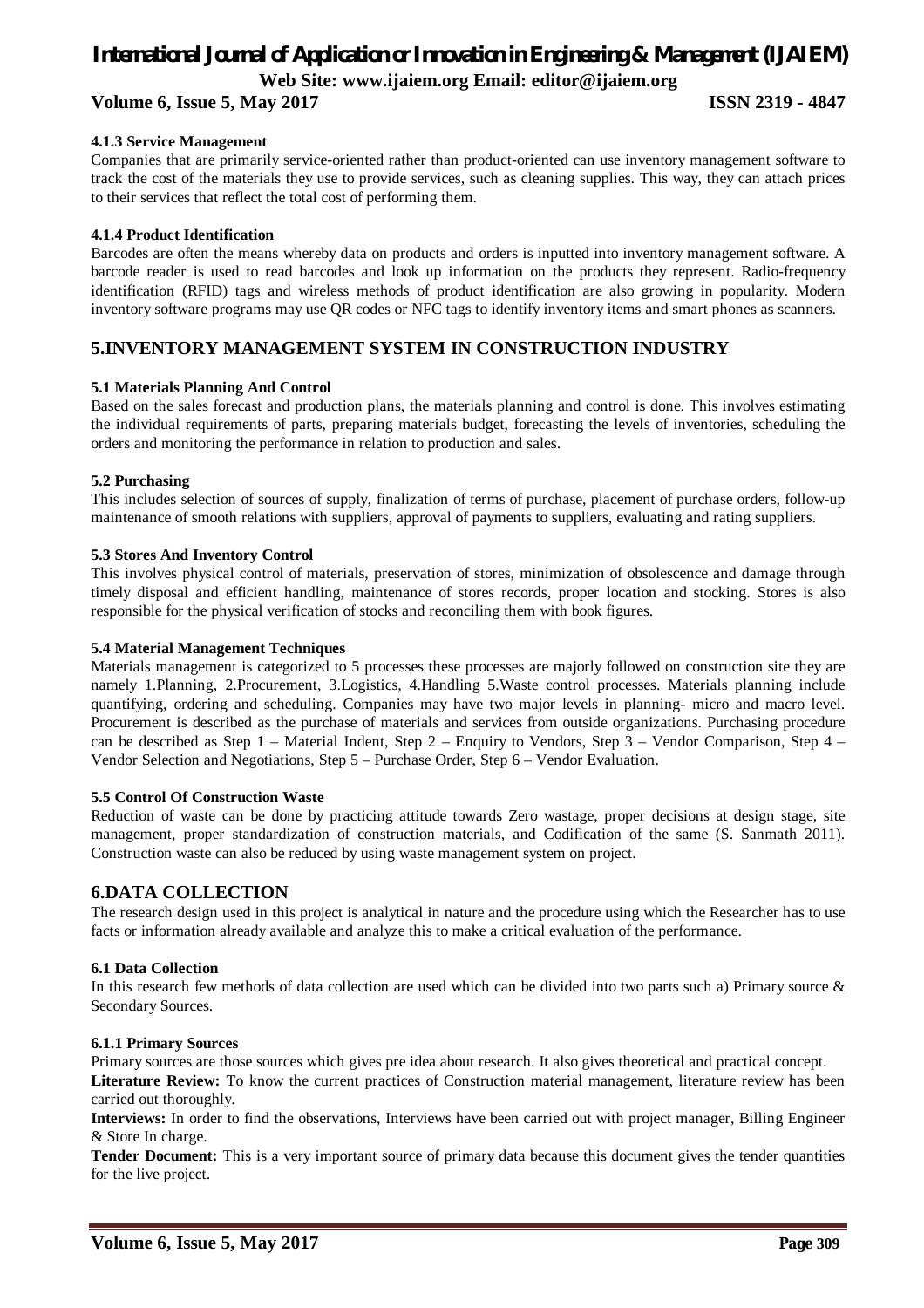#### **Volume 6, Issue 5, May 2017 ISSN 2319 - 4847**

#### **4.1.3 Service Management**

Companies that are primarily service-oriented rather than product-oriented can use inventory management software to track the cost of the materials they use to provide services, such as cleaning supplies. This way, they can attach prices to their services that reflect the total cost of performing them.

#### **4.1.4 Product Identification**

Barcodes are often the means whereby data on products and orders is inputted into inventory management software. A barcode reader is used to read barcodes and look up information on the products they represent. Radio-frequency identification (RFID) tags and wireless methods of product identification are also growing in popularity. Modern inventory software programs may use QR codes or NFC tags to identify inventory items and smart phones as scanners.

### **5.INVENTORY MANAGEMENT SYSTEM IN CONSTRUCTION INDUSTRY**

#### **5.1 Materials Planning And Control**

Based on the sales forecast and production plans, the materials planning and control is done. This involves estimating the individual requirements of parts, preparing materials budget, forecasting the levels of inventories, scheduling the orders and monitoring the performance in relation to production and sales.

#### **5.2 Purchasing**

This includes selection of sources of supply, finalization of terms of purchase, placement of purchase orders, follow-up maintenance of smooth relations with suppliers, approval of payments to suppliers, evaluating and rating suppliers.

#### **5.3 Stores And Inventory Control**

This involves physical control of materials, preservation of stores, minimization of obsolescence and damage through timely disposal and efficient handling, maintenance of stores records, proper location and stocking. Stores is also responsible for the physical verification of stocks and reconciling them with book figures.

#### **5.4 Material Management Techniques**

Materials management is categorized to 5 processes these processes are majorly followed on construction site they are namely 1.Planning, 2.Procurement, 3.Logistics, 4.Handling 5.Waste control processes. Materials planning include quantifying, ordering and scheduling. Companies may have two major levels in planning- micro and macro level. Procurement is described as the purchase of materials and services from outside organizations. Purchasing procedure can be described as Step 1 – Material Indent, Step 2 – Enquiry to Vendors, Step 3 – Vendor Comparison, Step 4 – Vendor Selection and Negotiations, Step 5 – Purchase Order, Step 6 – Vendor Evaluation.

#### **5.5 Control Of Construction Waste**

Reduction of waste can be done by practicing attitude towards Zero wastage, proper decisions at design stage, site management, proper standardization of construction materials, and Codification of the same (S. Sanmath 2011). Construction waste can also be reduced by using waste management system on project.

#### **6.DATA COLLECTION**

The research design used in this project is analytical in nature and the procedure using which the Researcher has to use facts or information already available and analyze this to make a critical evaluation of the performance.

#### **6.1 Data Collection**

In this research few methods of data collection are used which can be divided into two parts such a) Primary source & Secondary Sources.

#### **6.1.1 Primary Sources**

Primary sources are those sources which gives pre idea about research. It also gives theoretical and practical concept. **Literature Review:** To know the current practices of Construction material management, literature review has been carried out thoroughly.

**Interviews:** In order to find the observations, Interviews have been carried out with project manager, Billing Engineer & Store In charge.

**Tender Document:** This is a very important source of primary data because this document gives the tender quantities for the live project.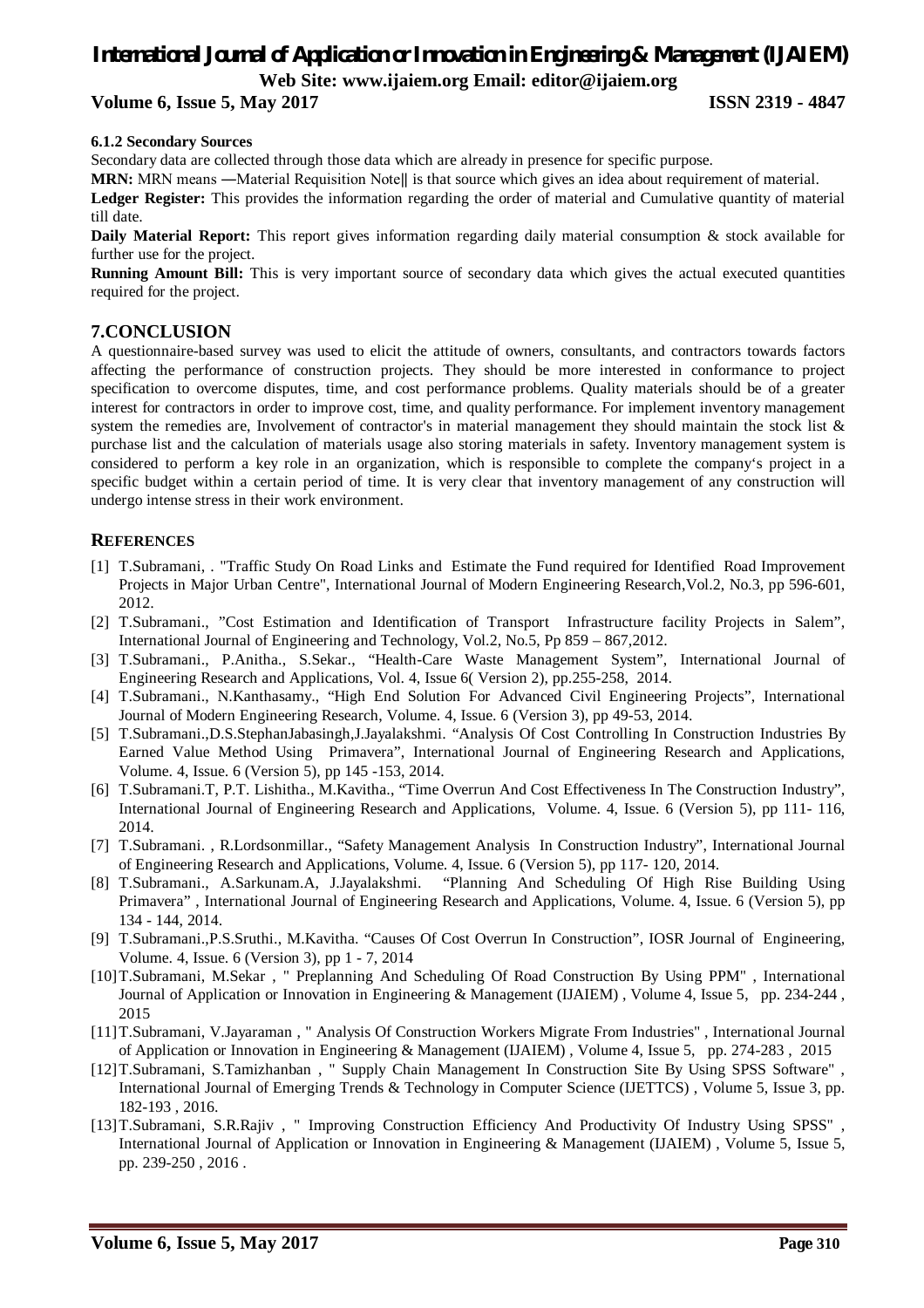#### **Volume 6, Issue 5, May 2017 ISSN 2319 - 4847**

#### **6.1.2 Secondary Sources**

Secondary data are collected through those data which are already in presence for specific purpose.

**MRN:** MRN means —Material Requisition Note|| is that source which gives an idea about requirement of material. **Ledger Register:** This provides the information regarding the order of material and Cumulative quantity of material

till date.

**Daily Material Report:** This report gives information regarding daily material consumption & stock available for further use for the project.

**Running Amount Bill:** This is very important source of secondary data which gives the actual executed quantities required for the project.

#### **7.CONCLUSION**

A questionnaire-based survey was used to elicit the attitude of owners, consultants, and contractors towards factors affecting the performance of construction projects. They should be more interested in conformance to project specification to overcome disputes, time, and cost performance problems. Quality materials should be of a greater interest for contractors in order to improve cost, time, and quality performance. For implement inventory management system the remedies are, Involvement of contractor's in material management they should maintain the stock list & purchase list and the calculation of materials usage also storing materials in safety. Inventory management system is considered to perform a key role in an organization, which is responsible to complete the company's project in a specific budget within a certain period of time. It is very clear that inventory management of any construction will undergo intense stress in their work environment.

#### **REFERENCES**

- [1] T.Subramani, . "Traffic Study On Road Links and Estimate the Fund required for Identified Road Improvement Projects in Major Urban Centre", International Journal of Modern Engineering Research,Vol.2, No.3, pp 596-601, 2012.
- [2] T.Subramani., "Cost Estimation and Identification of Transport Infrastructure facility Projects in Salem", International Journal of Engineering and Technology, Vol.2, No.5, Pp 859 – 867,2012.
- [3] T.Subramani., P.Anitha., S.Sekar., "Health-Care Waste Management System", International Journal of Engineering Research and Applications, Vol. 4, Issue 6( Version 2), pp.255-258, 2014.
- [4] T.Subramani., N.Kanthasamy., "High End Solution For Advanced Civil Engineering Projects", International Journal of Modern Engineering Research, Volume. 4, Issue. 6 (Version 3), pp 49-53, 2014.
- [5] T.Subramani.,D.S.StephanJabasingh,J.Jayalakshmi. "Analysis Of Cost Controlling In Construction Industries By Earned Value Method Using Primavera", International Journal of Engineering Research and Applications, Volume. 4, Issue. 6 (Version 5), pp 145 -153, 2014.
- [6] T.Subramani.T, P.T. Lishitha., M.Kavitha., "Time Overrun And Cost Effectiveness In The Construction Industry", International Journal of Engineering Research and Applications, Volume. 4, Issue. 6 (Version 5), pp 111- 116, 2014.
- [7] T.Subramani. , R.Lordsonmillar., "Safety Management Analysis In Construction Industry", International Journal of Engineering Research and Applications, Volume. 4, Issue. 6 (Version 5), pp 117- 120, 2014.
- [8] T.Subramani., A.Sarkunam.A, J.Jayalakshmi. "Planning And Scheduling Of High Rise Building Using Primavera" , International Journal of Engineering Research and Applications, Volume. 4, Issue. 6 (Version 5), pp 134 - 144, 2014.
- [9] T.Subramani.,P.S.Sruthi., M.Kavitha. "Causes Of Cost Overrun In Construction", IOSR Journal of Engineering, Volume. 4, Issue. 6 (Version 3), pp 1 - 7, 2014
- [10]T.Subramani, M.Sekar , " Preplanning And Scheduling Of Road Construction By Using PPM" , International Journal of Application or Innovation in Engineering & Management (IJAIEM) , Volume 4, Issue 5, pp. 234-244 , 2015
- [11]T.Subramani, V.Jayaraman , " Analysis Of Construction Workers Migrate From Industries" , International Journal of Application or Innovation in Engineering & Management (IJAIEM) , Volume 4, Issue 5, pp. 274-283 , 2015
- [12]T.Subramani, S.Tamizhanban , " Supply Chain Management In Construction Site By Using SPSS Software" , International Journal of Emerging Trends & Technology in Computer Science (IJETTCS) , Volume 5, Issue 3, pp. 182-193 , 2016.
- [13]T.Subramani, S.R.Rajiv , " Improving Construction Efficiency And Productivity Of Industry Using SPSS" , International Journal of Application or Innovation in Engineering & Management (IJAIEM) , Volume 5, Issue 5, pp. 239-250 , 2016 .